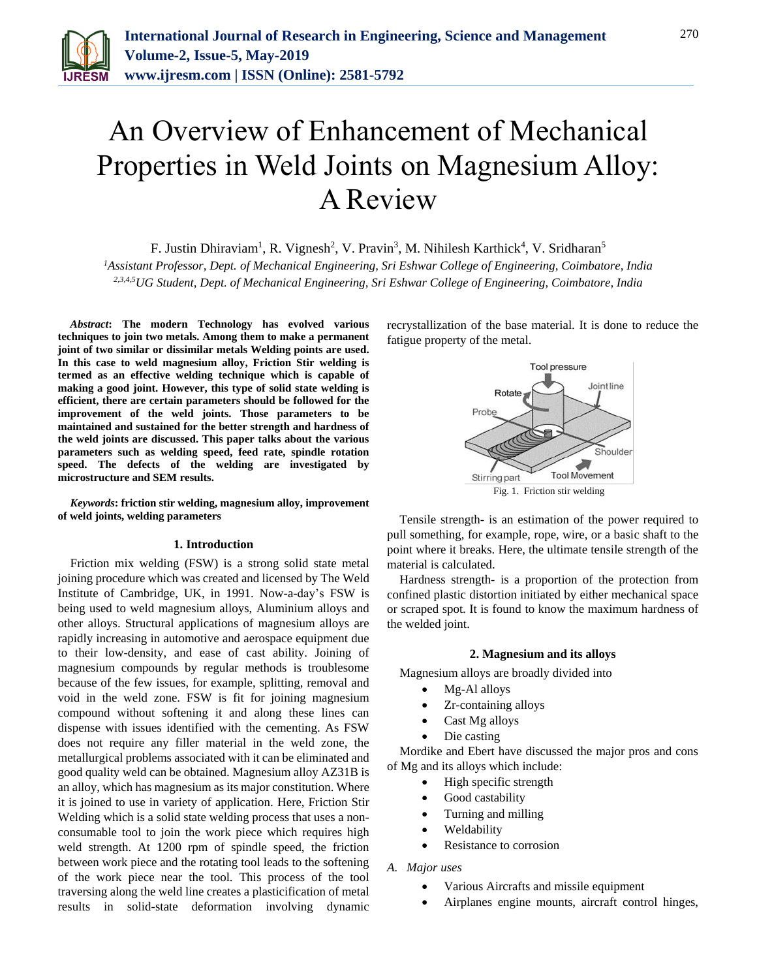

# An Overview of Enhancement of Mechanical Properties in Weld Joints on Magnesium Alloy: A Review

F. Justin Dhiraviam<sup>1</sup>, R. Vignesh<sup>2</sup>, V. Pravin<sup>3</sup>, M. Nihilesh Karthick<sup>4</sup>, V. Sridharan<sup>5</sup>

*<sup>1</sup>Assistant Professor, Dept. of Mechanical Engineering, Sri Eshwar College of Engineering, Coimbatore, India 2,3,4,5UG Student, Dept. of Mechanical Engineering, Sri Eshwar College of Engineering, Coimbatore, India*

*Abstract***: The modern Technology has evolved various techniques to join two metals. Among them to make a permanent joint of two similar or dissimilar metals Welding points are used. In this case to weld magnesium alloy, Friction Stir welding is termed as an effective welding technique which is capable of making a good joint. However, this type of solid state welding is efficient, there are certain parameters should be followed for the improvement of the weld joints. Those parameters to be maintained and sustained for the better strength and hardness of the weld joints are discussed. This paper talks about the various parameters such as welding speed, feed rate, spindle rotation speed. The defects of the welding are investigated by microstructure and SEM results.**

*Keywords***: friction stir welding, magnesium alloy, improvement of weld joints, welding parameters**

#### **1. Introduction**

Friction mix welding (FSW) is a strong solid state metal joining procedure which was created and licensed by The Weld Institute of Cambridge, UK, in 1991. Now-a-day's FSW is being used to weld magnesium alloys, Aluminium alloys and other alloys. Structural applications of magnesium alloys are rapidly increasing in automotive and aerospace equipment due to their low-density, and ease of cast ability. Joining of magnesium compounds by regular methods is troublesome because of the few issues, for example, splitting, removal and void in the weld zone. FSW is fit for joining magnesium compound without softening it and along these lines can dispense with issues identified with the cementing. As FSW does not require any filler material in the weld zone, the metallurgical problems associated with it can be eliminated and good quality weld can be obtained. Magnesium alloy AZ31B is an alloy, which has magnesium as its major constitution. Where it is joined to use in variety of application. Here, Friction Stir Welding which is a solid state welding process that uses a nonconsumable tool to join the work piece which requires high weld strength. At 1200 rpm of spindle speed, the friction between work piece and the rotating tool leads to the softening of the work piece near the tool. This process of the tool traversing along the weld line creates a plasticification of metal results in solid-state deformation involving dynamic recrystallization of the base material. It is done to reduce the fatigue property of the metal.



Tensile strength- is an estimation of the power required to pull something, for example, rope, wire, or a basic shaft to the point where it breaks. Here, the ultimate tensile strength of the material is calculated.

Hardness strength- is a proportion of the protection from confined plastic distortion initiated by either mechanical space or scraped spot. It is found to know the maximum hardness of the welded joint.

#### **2. Magnesium and its alloys**

Magnesium alloys are broadly divided into

- Mg-Al alloys
- Zr-containing alloys
- Cast Mg alloys
- Die casting

Mordike and Ebert have discussed the major pros and cons of Mg and its alloys which include:

- High specific strength
- Good castability
- Turning and milling
- Weldability
- Resistance to corrosion

*A. Major uses*

- Various Aircrafts and missile equipment
- Airplanes engine mounts, aircraft control hinges,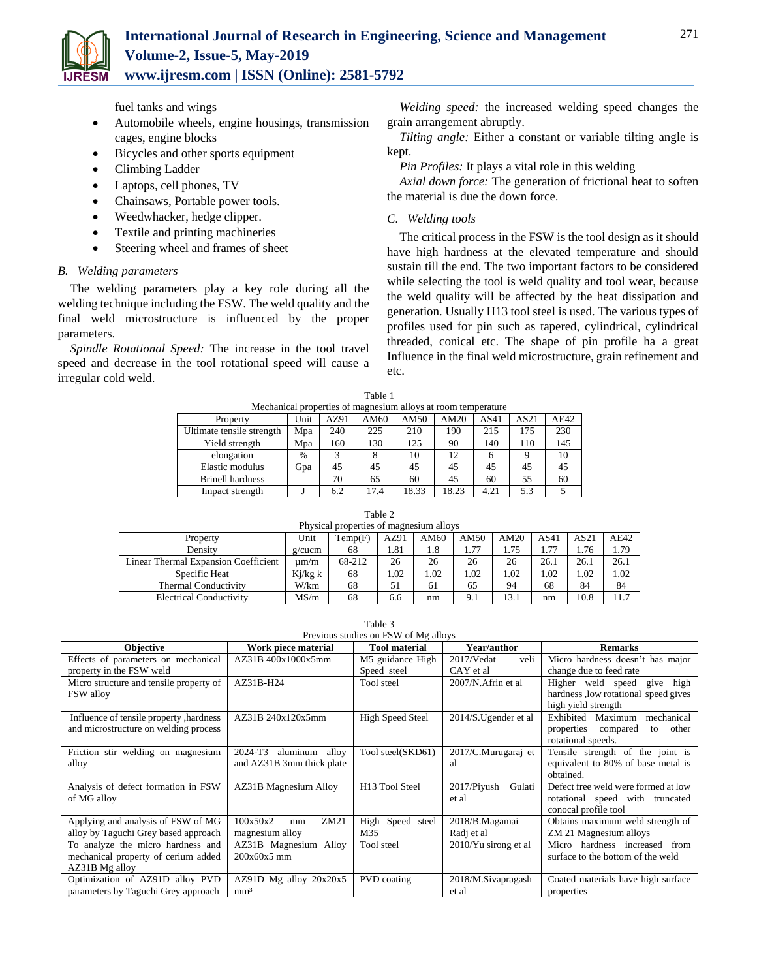

fuel tanks and wings

- Automobile wheels, engine housings, transmission cages, engine blocks
- Bicycles and other sports equipment
- Climbing Ladder
- Laptops, cell phones, TV
- Chainsaws, Portable power tools.
- Weedwhacker, hedge clipper.
- Textile and printing machineries
- Steering wheel and frames of sheet

## *B. Welding parameters*

The welding parameters play a key role during all the welding technique including the FSW. The weld quality and the final weld microstructure is influenced by the proper parameters.

*Spindle Rotational Speed:* The increase in the tool travel speed and decrease in the tool rotational speed will cause a irregular cold weld.

*Welding speed:* the increased welding speed changes the grain arrangement abruptly.

*Tilting angle:* Either a constant or variable tilting angle is kept.

*Pin Profiles:* It plays a vital role in this welding

*Axial down force:* The generation of frictional heat to soften the material is due the down force.

# *C. Welding tools*

The critical process in the FSW is the tool design as it should have high hardness at the elevated temperature and should sustain till the end. The two important factors to be considered while selecting the tool is weld quality and tool wear, because the weld quality will be affected by the heat dissipation and generation. Usually H13 tool steel is used. The various types of profiles used for pin such as tapered, cylindrical, cylindrical threaded, conical etc. The shape of pin profile ha a great Influence in the final weld microstructure, grain refinement and etc.

| Table 1                                                       |      |      |      |       |       |      |      |      |
|---------------------------------------------------------------|------|------|------|-------|-------|------|------|------|
| Mechanical properties of magnesium alloys at room temperature |      |      |      |       |       |      |      |      |
| Property                                                      | Unit | AZ91 | AM60 | AM50  | AM20  | AS41 | AS21 | AE42 |
| Ultimate tensile strength                                     | Mpa  | 240  | 225  | 210   | 190   | 215  | 175  | 230  |
| Yield strength                                                | Mpa  | 160  | 130  | 125   | 90    | 140  | 110  | 145  |
| elongation                                                    | %    | 3    | 8    | 10    | 12    | 6    | 9    | 10   |
| Elastic modulus                                               | Gpa  | 45   | 45   | 45    | 45    | 45   | 45   | 45   |
| <b>Brinell hardness</b>                                       |      | 70   | 65   | 60    | 45    | 60   | 55   | 60   |
| Impact strength                                               |      | 6.2  | 17.4 | 18.33 | 18.23 | 4.21 | 5.3  |      |

| ۰.<br>$\sim$ |
|--------------|
|--------------|

| Physical properties of magnesium alloys |           |         |      |      |        |      |        |      |      |
|-----------------------------------------|-----------|---------|------|------|--------|------|--------|------|------|
| Property                                | Unit      | Temp(F) | AZ91 | AM60 | AM50   | AM20 | AS41   | AS21 | AF42 |
| Density                                 | $g/c$ ucm | 68      | 1.81 | 1.8  | . . 77 | 1.75 | . . 77 | .76  | 1.79 |
| Linear Thermal Expansion Coefficient    | um/m      | 68-212  | 26   | 26   | 26     | 26   | 26.1   | 26.1 | 26.1 |
| Specific Heat                           | Kj/kg k   | 68      | 1.02 | .02  | .02    | 1.02 | .02    | .02  | 1.02 |
| <b>Thermal Conductivity</b>             | W/km      | 68      | 51   | 61   | 65     | 94   | 68     | 84   | 84   |
| <b>Electrical Conductivity</b>          | MS/m      | 68      | 6.6  | nm   | 9.1    | 13.1 | nm     | 10.8 | 11.7 |

| Table 3                                 |                              |                            |                          |                                       |  |  |  |  |
|-----------------------------------------|------------------------------|----------------------------|--------------------------|---------------------------------------|--|--|--|--|
| Previous studies on FSW of Mg alloys    |                              |                            |                          |                                       |  |  |  |  |
| <b>Objective</b>                        | Work piece material          |                            | Year/author              | <b>Remarks</b>                        |  |  |  |  |
| Effects of parameters on mechanical     | AZ31B400x1000x5mm            | M5 guidance High           | $2017/V$ edat<br>veli    | Micro hardness doesn't has major      |  |  |  |  |
| property in the FSW weld                |                              | Speed steel                | CAY et al.               | change due to feed rate               |  |  |  |  |
| Micro structure and tensile property of | AZ31B-H24                    | Tool steel                 | 2007/N.Afrin et al       | Higher weld speed<br>give<br>high     |  |  |  |  |
| <b>FSW</b> alloy                        |                              |                            |                          | hardness, low rotational speed gives  |  |  |  |  |
|                                         |                              |                            |                          | high yield strength                   |  |  |  |  |
| Influence of tensile property, hardness | AZ31B 240x120x5mm            | <b>High Speed Steel</b>    | $2014/S$ . Ugender et al | Exhibited<br>Maximum<br>mechanical    |  |  |  |  |
| and microstructure on welding process   |                              |                            |                          | properties<br>compared<br>other<br>to |  |  |  |  |
|                                         |                              |                            |                          | rotational speeds.                    |  |  |  |  |
| Friction stir welding on magnesium      | 2024-T3<br>alloy<br>aluminum | Tool steel(SKD61)          | 2017/C.Murugaraj et      | Tensile strength of the joint is      |  |  |  |  |
| alloy                                   | and AZ31B 3mm thick plate    |                            | al                       | equivalent to 80% of base metal is    |  |  |  |  |
|                                         |                              |                            |                          | obtained.                             |  |  |  |  |
| Analysis of defect formation in FSW     | <b>AZ31B Magnesium Alloy</b> | H <sub>13</sub> Tool Steel | 2017/Piyush<br>Gulati    | Defect free weld were formed at low   |  |  |  |  |
| of MG alloy                             |                              |                            | et al                    | rotational speed with truncated       |  |  |  |  |
|                                         |                              |                            |                          | conocal profile tool                  |  |  |  |  |
| Applying and analysis of FSW of MG      | 100x50x2<br>ZM21<br>mm       | Speed steel<br>High        | 2018/B.Magamai           | Obtains maximum weld strength of      |  |  |  |  |
| alloy by Taguchi Grey based approach    | magnesium alloy              | M35                        | Radj et al               | ZM 21 Magnesium alloys                |  |  |  |  |
| To analyze the micro hardness and       | AZ31B Magnesium Alloy        | Tool steel                 | 2010/Yu sirong et al     | hardness increased<br>from<br>Micro   |  |  |  |  |
| mechanical property of cerium added     | $200x60x5$ mm                |                            |                          | surface to the bottom of the weld     |  |  |  |  |
| AZ31B Mg alloy                          |                              |                            |                          |                                       |  |  |  |  |
| Optimization of AZ91D alloy PVD         | $AZ91D$ Mg alloy $20x20x5$   | PVD coating                | 2018/M.Sivapragash       | Coated materials have high surface    |  |  |  |  |
| parameters by Taguchi Grey approach     | mm <sup>3</sup>              |                            | et al                    | properties                            |  |  |  |  |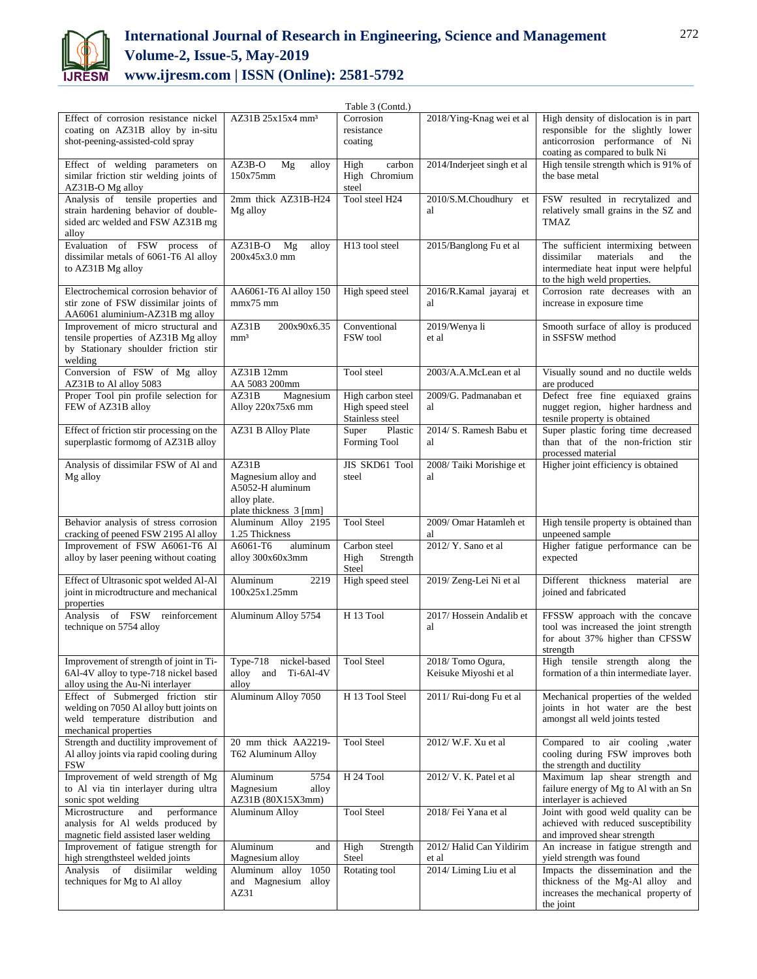

# **International Journal of Research in Engineering, Science and Management Volume-2, Issue-5, May-2019 www.ijresm.com | ISSN (Online): 2581-5792**

|                                                                                                                                            |                                                                                            | Table 3 (Contd.)                                         |                                           |                                                                                                                                                     |
|--------------------------------------------------------------------------------------------------------------------------------------------|--------------------------------------------------------------------------------------------|----------------------------------------------------------|-------------------------------------------|-----------------------------------------------------------------------------------------------------------------------------------------------------|
| Effect of corrosion resistance nickel<br>coating on AZ31B alloy by in-situ<br>shot-peening-assisted-cold spray                             | AZ31B 25x15x4 mm <sup>3</sup>                                                              | Corrosion<br>resistance<br>coating                       | 2018/Ying-Knag wei et al                  | High density of dislocation is in part<br>responsible for the slightly lower<br>anticorrosion performance of Ni<br>coating as compared to bulk Ni   |
| Effect of welding parameters on<br>similar friction stir welding joints of<br>AZ31B-O Mg alloy                                             | AZ3B-O<br>Mg<br>alloy<br>150x75mm                                                          | carbon<br>High<br>High Chromium<br>steel                 | 2014/Inderjeet singh et al                | High tensile strength which is 91% of<br>the base metal                                                                                             |
| Analysis of tensile properties and<br>strain hardening behavior of double-<br>sided arc welded and FSW AZ31B mg<br>alloy                   | 2mm thick AZ31B-H24<br>Mg alloy                                                            | Tool steel H24                                           | 2010/S.M.Choudhury et<br>al               | FSW resulted in recrytalized and<br>relatively small grains in the SZ and<br>TMAZ                                                                   |
| Evaluation of FSW process<br>of<br>dissimilar metals of 6061-T6 Al alloy<br>to AZ31B Mg alloy                                              | $AZ31B-O$<br>Mg<br>alloy<br>200x45x3.0 mm                                                  | H13 tool steel                                           | 2015/Banglong Fu et al                    | The sufficient intermixing between<br>dissimilar<br>materials<br>and<br>the<br>intermediate heat input were helpful<br>to the high weld properties. |
| Electrochemical corrosion behavior of<br>stir zone of FSW dissimilar joints of<br>AA6061 aluminium-AZ31B mg alloy                          | AA6061-T6 Al alloy 150<br>$mmx75$ mm                                                       | High speed steel                                         | 2016/R.Kamal jayaraj et<br>al             | Corrosion rate decreases with an<br>increase in exposure time                                                                                       |
| Improvement of micro structural and<br>tensile properties of AZ31B Mg alloy<br>by Stationary shoulder friction stir<br>welding             | AZ31B<br>200x90x6.35<br>mm <sup>3</sup>                                                    | Conventional<br>FSW tool                                 | 2019/Wenya li<br>et al                    | Smooth surface of alloy is produced<br>in SSFSW method                                                                                              |
| Conversion of FSW of Mg alloy<br>AZ31B to Al alloy 5083                                                                                    | AZ31B 12mm<br>AA 5083 200mm                                                                | Tool steel                                               | 2003/A.A.McLean et al                     | Visually sound and no ductile welds<br>are produced                                                                                                 |
| Proper Tool pin profile selection for<br>FEW of AZ31B alloy                                                                                | AZ31B<br>Magnesium<br>Alloy 220x75x6 mm                                                    | High carbon steel<br>High speed steel<br>Stainless steel | 2009/G. Padmanaban et<br>al               | Defect free fine equiaxed grains<br>nugget region, higher hardness and<br>tesnile property is obtained                                              |
| Effect of friction stir processing on the<br>superplastic formomg of AZ31B alloy                                                           | AZ31 B Alloy Plate                                                                         | Super<br>Plastic<br>Forming Tool                         | 2014/ S. Ramesh Babu et<br>al             | Super plastic foring time decreased<br>than that of the non-friction stir<br>processed material                                                     |
| Analysis of dissimilar FSW of Al and<br>Mg alloy                                                                                           | AZ31B<br>Magnesium alloy and<br>A5052-H aluminum<br>alloy plate.<br>plate thickness 3 [mm] | JIS SKD61 Tool<br>steel                                  | 2008/Taiki Morishige et<br>al             | Higher joint efficiency is obtained                                                                                                                 |
| Behavior analysis of stress corrosion<br>cracking of peened FSW 2195 Al alloy                                                              | Aluminum Alloy 2195<br>1.25 Thickness                                                      | <b>Tool Steel</b>                                        | 2009/ Omar Hatamleh et<br>al              | High tensile property is obtained than<br>unpeened sample                                                                                           |
| Improvement of FSW A6061-T6 Al<br>alloy by laser peening without coating                                                                   | A6061-T6<br>aluminum<br>alloy 300x60x3mm                                                   | Carbon steel<br>Strength<br>High<br>Steel                | 2012/ Y. Sano et al                       | Higher fatigue performance can be<br>expected                                                                                                       |
| Effect of Ultrasonic spot welded Al-Al<br>joint in microdtructure and mechanical<br>properties                                             | Aluminum<br>2219<br>100x25x1.25mm                                                          | High speed steel                                         | 2019/Zeng-Lei Ni et al                    | Different thickness<br>material<br>are<br>joined and fabricated                                                                                     |
| Analysis of FSW reinforcement<br>technique on 5754 alloy                                                                                   | Aluminum Alloy 5754                                                                        | H <sub>13</sub> Tool                                     | 2017/ Hossein Andalib et<br>al            | FFSSW approach with the concave<br>tool was increased the joint strength<br>for about 37% higher than CFSSW<br>strength                             |
| Improvement of strength of joint in Ti-<br>6Al-4V alloy to type-718 nickel based<br>alloy using the Au-Ni interlayer                       | nickel-based<br>Type- $718$<br>Ti-6Al-4V<br>alloy<br>and<br>alloy                          | <b>Tool Steel</b>                                        | 2018/Tomo Ogura,<br>Keisuke Miyoshi et al | High tensile strength along the<br>formation of a thin intermediate layer.                                                                          |
| Effect of Submerged friction stir<br>welding on 7050 Al alloy butt joints on<br>weld temperature distribution and<br>mechanical properties | Aluminum Alloy 7050                                                                        | H 13 Tool Steel                                          | 2011/ Rui-dong Fu et al                   | Mechanical properties of the welded<br>joints in hot water are the best<br>amongst all weld joints tested                                           |
| Strength and ductility improvement of<br>Al alloy joints via rapid cooling during<br>FSW                                                   | 20 mm thick AA2219-<br>T62 Aluminum Alloy                                                  | <b>Tool Steel</b>                                        | 2012/ W.F. Xu et al                       | Compared to air cooling , water<br>cooling during FSW improves both<br>the strength and ductility                                                   |
| Improvement of weld strength of Mg<br>to Al via tin interlayer during ultra<br>sonic spot welding                                          | Aluminum<br>5754<br>Magnesium<br>alloy<br>AZ31B (80X15X3mm)                                | H 24 Tool                                                | 2012/ V. K. Patel et al                   | Maximum lap shear strength and<br>failure energy of Mg to Al with an Sn<br>interlayer is achieved                                                   |
| Microstructure<br>performance<br>and<br>analysis for Al welds produced by<br>magnetic field assisted laser welding                         | <b>Aluminum Alloy</b>                                                                      | <b>Tool Steel</b>                                        | 2018/ Fei Yana et al                      | Joint with good weld quality can be<br>achieved with reduced susceptibility<br>and improved shear strength                                          |
| Improvement of fatigue strength for<br>high strengthsteel welded joints                                                                    | Aluminum<br>and<br>Magnesium alloy                                                         | High<br>Strength<br>Steel                                | 2012/ Halid Can Yildirim<br>et al         | An increase in fatigue strength and<br>yield strength was found                                                                                     |
| Analysis of<br>disiimilar<br>welding<br>techniques for Mg to Al alloy                                                                      | Aluminum alloy<br>1050<br>and Magnesium alloy<br>AZ31                                      | Rotating tool                                            | 2014/ Liming Liu et al                    | Impacts the dissemination and the<br>thickness of the Mg-Al alloy and<br>increases the mechanical property of<br>the joint                          |
|                                                                                                                                            |                                                                                            |                                                          |                                           |                                                                                                                                                     |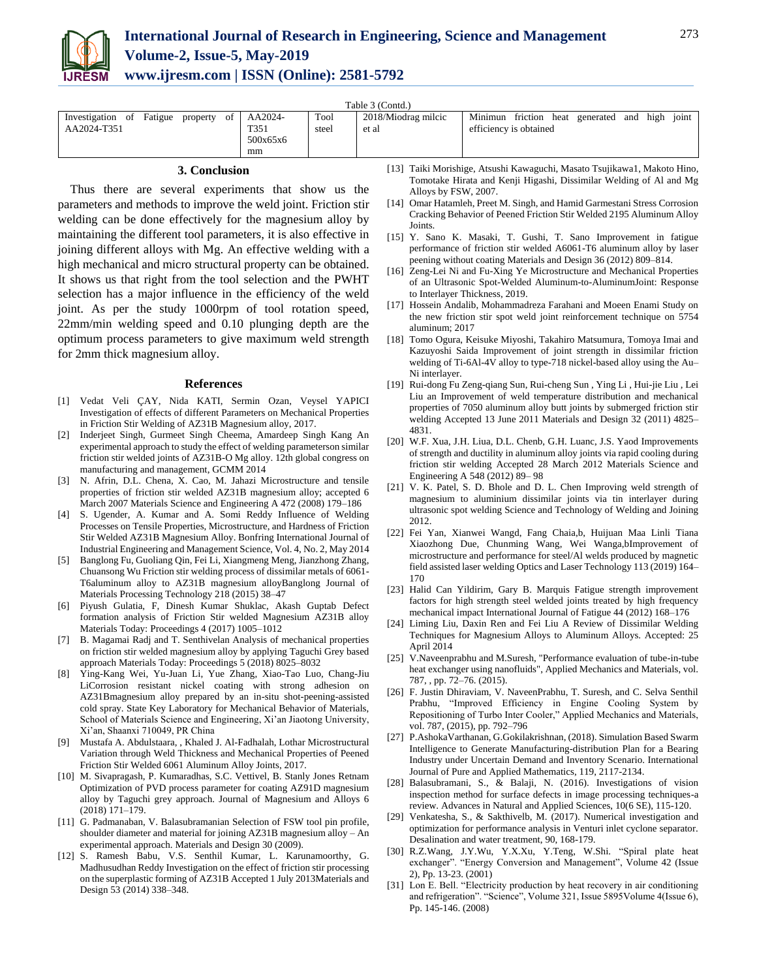

| Table 3 (Contd.)                           |          |       |                     |                                                   |  |  |  |  |
|--------------------------------------------|----------|-------|---------------------|---------------------------------------------------|--|--|--|--|
| Investigation of Fatigue<br>of<br>property | AA2024-  | Tool  | 2018/Miodrag milcic | Minimun friction heat generated and high<br>ioint |  |  |  |  |
| AA2024-T351                                | T351     | steel | et al               | efficiency is obtained                            |  |  |  |  |
|                                            | 500x65x6 |       |                     |                                                   |  |  |  |  |
|                                            | mm       |       |                     |                                                   |  |  |  |  |

### **3. Conclusion**

Thus there are several experiments that show us the parameters and methods to improve the weld joint. Friction stir welding can be done effectively for the magnesium alloy by maintaining the different tool parameters, it is also effective in joining different alloys with Mg. An effective welding with a high mechanical and micro structural property can be obtained. It shows us that right from the tool selection and the PWHT selection has a major influence in the efficiency of the weld joint. As per the study 1000rpm of tool rotation speed, 22mm/min welding speed and 0.10 plunging depth are the optimum process parameters to give maximum weld strength for 2mm thick magnesium alloy.

#### **References**

- [1] Vedat Veli ÇAY, Nida KATI, Sermin Ozan, Veysel YAPICI Investigation of effects of different Parameters on Mechanical Properties in Friction Stir Welding of AZ31B Magnesium alloy, 2017.
- [2] Inderjeet Singh, Gurmeet Singh Cheema, Amardeep Singh Kang An experimental approach to study the effect of welding parameterson similar friction stir welded joints of AZ31B-O Mg alloy. 12th global congress on manufacturing and management, GCMM 2014
- [3] N. Afrin, D.L. Chena, X. Cao, M. Jahazi Microstructure and tensile properties of friction stir welded AZ31B magnesium alloy; accepted 6 March 2007 Materials Science and Engineering A 472 (2008) 179–186
- [4] S. Ugender, A. Kumar and A. Somi Reddy Influence of Welding Processes on Tensile Properties, Microstructure, and Hardness of Friction Stir Welded AZ31B Magnesium Alloy. Bonfring International Journal of Industrial Engineering and Management Science, Vol. 4, No. 2, May 2014
- [5] Banglong Fu, Guoliang Qin, Fei Li, Xiangmeng Meng, Jianzhong Zhang, Chuansong Wu Friction stir welding process of dissimilar metals of 6061- T6aluminum alloy to AZ31B magnesium alloyBanglong Journal of Materials Processing Technology 218 (2015) 38–47
- [6] Piyush Gulatia, F, Dinesh Kumar Shuklac, Akash Guptab Defect formation analysis of Friction Stir welded Magnesium AZ31B alloy Materials Today: Proceedings 4 (2017) 1005–1012
- [7] B. Magamai Radj and T. Senthivelan Analysis of mechanical properties on friction stir welded magnesium alloy by applying Taguchi Grey based approach Materials Today: Proceedings 5 (2018) 8025–8032
- [8] Ying-Kang Wei, Yu-Juan Li, Yue Zhang, Xiao-Tao Luo, Chang-Jiu LiCorrosion resistant nickel coating with strong adhesion on AZ31Bmagnesium alloy prepared by an in-situ shot-peening-assisted cold spray. State Key Laboratory for Mechanical Behavior of Materials, School of Materials Science and Engineering, Xi'an Jiaotong University, Xi'an, Shaanxi 710049, PR China
- [9] Mustafa A. Abdulstaara, , Khaled J. Al-Fadhalah, Lothar Microstructural Variation through Weld Thickness and Mechanical Properties of Peened Friction Stir Welded 6061 Aluminum Alloy Joints, 2017.
- [10] M. Sivapragash, P. Kumaradhas, S.C. Vettivel, B. Stanly Jones Retnam Optimization of PVD process parameter for coating AZ91D magnesium alloy by Taguchi grey approach. Journal of Magnesium and Alloys 6 (2018) 171–179.
- [11] G. Padmanaban, V. Balasubramanian Selection of FSW tool pin profile, shoulder diameter and material for joining AZ31B magnesium alloy – An experimental approach. Materials and Design 30 (2009).
- [12] S. Ramesh Babu, V.S. Senthil Kumar, L. Karunamoorthy, G. Madhusudhan Reddy Investigation on the effect of friction stir processing on the superplastic forming of AZ31B Accepted 1 July 2013Materials and Design 53 (2014) 338–348.
- [13] Taiki Morishige, Atsushi Kawaguchi, Masato Tsujikawa1, Makoto Hino, Tomotake Hirata and Kenji Higashi, Dissimilar Welding of Al and Mg Alloys by FSW, 2007.
- [14] Omar Hatamleh, Preet M. Singh, and Hamid Garmestani Stress Corrosion Cracking Behavior of Peened Friction Stir Welded 2195 Aluminum Alloy Joints.
- [15] Y. Sano K. Masaki, T. Gushi, T. Sano Improvement in fatigue performance of friction stir welded A6061-T6 aluminum alloy by laser peening without coating Materials and Design 36 (2012) 809–814.
- [16] Zeng-Lei Ni and Fu-Xing Ye Microstructure and Mechanical Properties of an Ultrasonic Spot-Welded Aluminum-to-AluminumJoint: Response to Interlayer Thickness, 2019.
- [17] Hossein Andalib, Mohammadreza Farahani and Moeen Enami Study on the new friction stir spot weld joint reinforcement technique on 5754 aluminum; 2017
- [18] Tomo Ogura, Keisuke Miyoshi, Takahiro Matsumura, Tomoya Imai and Kazuyoshi Saida Improvement of joint strength in dissimilar friction welding of Ti-6Al-4V alloy to type-718 nickel-based alloy using the Au– Ni interlayer.
- [19] Rui-dong Fu Zeng-qiang Sun, Rui-cheng Sun , Ying Li , Hui-jie Liu , Lei Liu an Improvement of weld temperature distribution and mechanical properties of 7050 aluminum alloy butt joints by submerged friction stir welding Accepted 13 June 2011 Materials and Design 32 (2011) 4825– 4831.
- [20] W.F. Xua, J.H. Liua, D.L. Chenb, G.H. Luanc, J.S. Yaod Improvements of strength and ductility in aluminum alloy joints via rapid cooling during friction stir welding Accepted 28 March 2012 Materials Science and Engineering A 548 (2012) 89– 98
- [21] V. K. Patel, S. D. Bhole and D. L. Chen Improving weld strength of magnesium to aluminium dissimilar joints via tin interlayer during ultrasonic spot welding Science and Technology of Welding and Joining 2012.
- [22] Fei Yan, Xianwei Wangd, Fang Chaia,b, Huijuan Maa Linli Tiana Xiaozhong Due, Chunming Wang, Wei Wanga,bImprovement of microstructure and performance for steel/Al welds produced by magnetic field assisted laser welding Optics and Laser Technology 113 (2019) 164– 170
- [23] Halid Can Yildirim, Gary B. Marquis Fatigue strength improvement factors for high strength steel welded joints treated by high frequency mechanical impact International Journal of Fatigue 44 (2012) 168–176
- [24] Liming Liu, Daxin Ren and Fei Liu A Review of Dissimilar Welding Techniques for Magnesium Alloys to Aluminum Alloys. Accepted: 25 April 2014
- [25] V.Naveenprabhu and M.Suresh, "Performance evaluation of tube-in-tube heat exchanger using nanofluids", Applied Mechanics and Materials, vol. 787, , pp. 72–76. (2015).
- [26] F. Justin Dhiraviam, V. NaveenPrabhu, T. Suresh, and C. Selva Senthil Prabhu, "Improved Efficiency in Engine Cooling System by Repositioning of Turbo Inter Cooler," Applied Mechanics and Materials, vol. 787, (2015), pp. 792–796
- [27] P.AshokaVarthanan, G.Gokilakrishnan, (2018). Simulation Based Swarm Intelligence to Generate Manufacturing-distribution Plan for a Bearing Industry under Uncertain Demand and Inventory Scenario. International Journal of Pure and Applied Mathematics, 119, 2117-2134.
- [28] Balasubramani, S., & Balaji, N. (2016). Investigations of vision inspection method for surface defects in image processing techniques-a review. Advances in Natural and Applied Sciences, 10(6 SE), 115-120.
- [29] Venkatesha, S., & Sakthivelb, M. (2017). Numerical investigation and optimization for performance analysis in Venturi inlet cyclone separator. Desalination and water treatment, 90, 168-179.
- [30] R.Z.Wang, J.Y.Wu, Y.X.Xu, Y.Teng, W.Shi. "Spiral plate heat exchanger". "Energy Conversion and Management", Volume 42 (Issue 2), Pp. 13-23. (2001)
- [31] Lon E. Bell. "Electricity production by heat recovery in air conditioning and refrigeration". "Science", Volume 321, Issue 5895Volume 4(Issue 6), Pp. 145-146. (2008)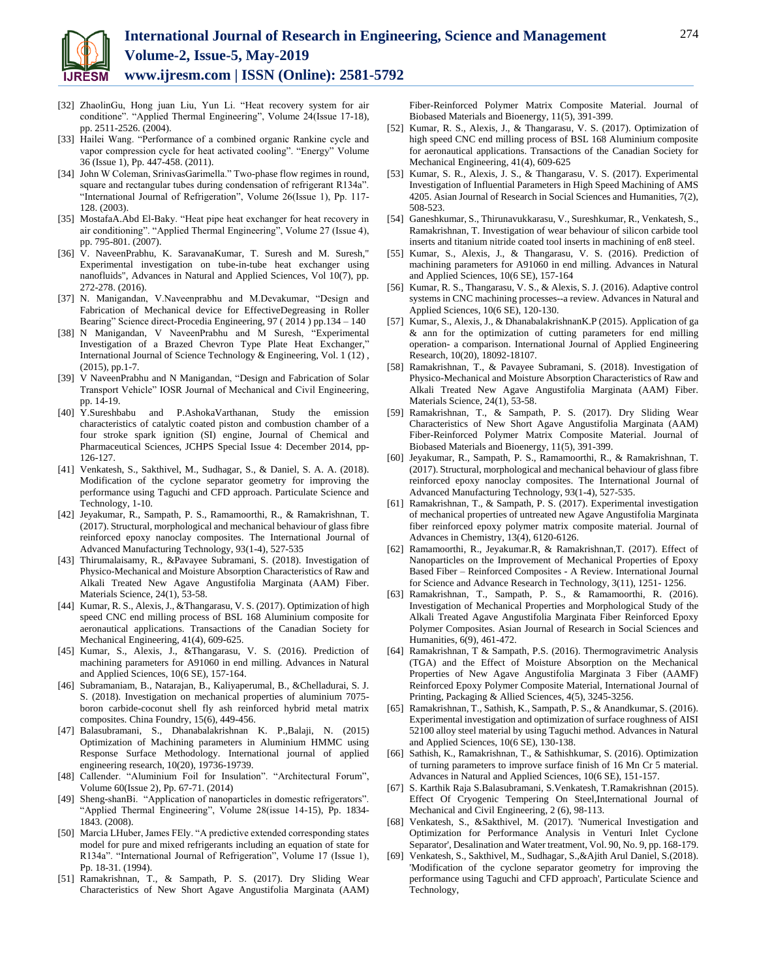

- [32] ZhaolinGu, Hong juan Liu, Yun Li. "Heat recovery system for air conditione". "Applied Thermal Engineering", Volume 24(Issue 17-18), pp. 2511-2526. (2004).
- [33] Hailei Wang. "Performance of a combined organic Rankine cycle and vapor compression cycle for heat activated cooling". "Energy" Volume 36 (Issue 1), Pp. 447-458. (2011).
- [34] John W Coleman, SrinivasGarimella." Two-phase flow regimes in round, square and rectangular tubes during condensation of refrigerant R134a". "International Journal of Refrigeration", Volume 26(Issue 1), Pp. 117- 128. (2003).
- [35] MostafaA.Abd El-Baky. "Heat pipe heat exchanger for heat recovery in air conditioning". "Applied Thermal Engineering", Volume 27 (Issue 4), pp. 795-801. (2007).
- [36] V. NaveenPrabhu, K. SaravanaKumar, T. Suresh and M. Suresh," Experimental investigation on tube-in-tube heat exchanger using nanofluids", Advances in Natural and Applied Sciences, Vol 10(7), pp. 272-278. (2016).
- [37] N. Manigandan, V.Naveenprabhu and M.Devakumar, "Design and Fabrication of Mechanical device for EffectiveDegreasing in Roller Bearing" Science direct-Procedia Engineering, 97 (2014) pp.134 – 140
- [38] N Manigandan, V NaveenPrabhu and M Suresh, "Experimental Investigation of a Brazed Chevron Type Plate Heat Exchanger," International Journal of Science Technology & Engineering, Vol. 1 (12) , (2015), pp.1-7.
- [39] V NaveenPrabhu and N Manigandan, "Design and Fabrication of Solar Transport Vehicle" IOSR Journal of Mechanical and Civil Engineering, pp. 14-19.
- [40] Y.Sureshbabu and P.AshokaVarthanan, Study the emission characteristics of catalytic coated piston and combustion chamber of a four stroke spark ignition (SI) engine, Journal of Chemical and Pharmaceutical Sciences, JCHPS Special Issue 4: December 2014, pp-126-127.
- [41] Venkatesh, S., Sakthivel, M., Sudhagar, S., & Daniel, S. A. A. (2018). Modification of the cyclone separator geometry for improving the performance using Taguchi and CFD approach. Particulate Science and Technology, 1-10.
- [42] Jeyakumar, R., Sampath, P. S., Ramamoorthi, R., & Ramakrishnan, T. (2017). Structural, morphological and mechanical behaviour of glass fibre reinforced epoxy nanoclay composites. The International Journal of Advanced Manufacturing Technology, 93(1-4), 527-535
- [43] Thirumalaisamy, R., &Pavayee Subramani, S. (2018). Investigation of Physico-Mechanical and Moisture Absorption Characteristics of Raw and Alkali Treated New Agave Angustifolia Marginata (AAM) Fiber. Materials Science, 24(1), 53-58.
- [44] Kumar, R. S., Alexis, J., &Thangarasu, V. S. (2017). Optimization of high speed CNC end milling process of BSL 168 Aluminium composite for aeronautical applications. Transactions of the Canadian Society for Mechanical Engineering, 41(4), 609-625.
- [45] Kumar, S., Alexis, J., &Thangarasu, V. S. (2016). Prediction of machining parameters for A91060 in end milling. Advances in Natural and Applied Sciences, 10(6 SE), 157-164.
- [46] Subramaniam, B., Natarajan, B., Kaliyaperumal, B., &Chelladurai, S. J. S. (2018). Investigation on mechanical properties of aluminium 7075 boron carbide-coconut shell fly ash reinforced hybrid metal matrix composites. China Foundry, 15(6), 449-456.
- [47] Balasubramani, S., Dhanabalakrishnan K. P.,Balaji, N. (2015) Optimization of Machining parameters in Aluminium HMMC using Response Surface Methodology. International journal of applied engineering research, 10(20), 19736-19739.
- [48] Callender. "Aluminium Foil for Insulation". "Architectural Forum", Volume 60(Issue 2), Pp. 67-71. (2014)
- [49] Sheng-shanBi. "Application of nanoparticles in domestic refrigerators". "Applied Thermal Engineering", Volume 28(issue 14-15), Pp. 1834- 1843. (2008).
- [50] Marcia LHuber, James FEly. "A predictive extended corresponding states model for pure and mixed refrigerants including an equation of state for R134a". "International Journal of Refrigeration", Volume 17 (Issue 1), Pp. 18-31. (1994).
- [51] Ramakrishnan, T., & Sampath, P. S. (2017). Dry Sliding Wear Characteristics of New Short Agave Angustifolia Marginata (AAM)

Fiber-Reinforced Polymer Matrix Composite Material. Journal of Biobased Materials and Bioenergy, 11(5), 391-399.

- [52] Kumar, R. S., Alexis, J., & Thangarasu, V. S. (2017). Optimization of high speed CNC end milling process of BSL 168 Aluminium composite for aeronautical applications. Transactions of the Canadian Society for Mechanical Engineering, 41(4), 609-625
- [53] Kumar, S. R., Alexis, J. S., & Thangarasu, V. S. (2017). Experimental Investigation of Influential Parameters in High Speed Machining of AMS 4205. Asian Journal of Research in Social Sciences and Humanities, 7(2), 508-523.
- [54] Ganeshkumar, S., Thirunavukkarasu, V., Sureshkumar, R., Venkatesh, S., Ramakrishnan, T. Investigation of wear behaviour of silicon carbide tool inserts and titanium nitride coated tool inserts in machining of en8 steel.
- [55] Kumar, S., Alexis, J., & Thangarasu, V. S. (2016). Prediction of machining parameters for A91060 in end milling. Advances in Natural and Applied Sciences, 10(6 SE), 157-164
- [56] Kumar, R. S., Thangarasu, V. S., & Alexis, S. J. (2016). Adaptive control systems in CNC machining processes--a review. Advances in Natural and Applied Sciences, 10(6 SE), 120-130.
- [57] Kumar, S., Alexis, J., & DhanabalakrishnanK.P (2015). Application of ga & ann for the optimization of cutting parameters for end milling operation- a comparison. International Journal of Applied Engineering Research, 10(20), 18092-18107.
- [58] Ramakrishnan, T., & Pavayee Subramani, S. (2018). Investigation of Physico-Mechanical and Moisture Absorption Characteristics of Raw and Alkali Treated New Agave Angustifolia Marginata (AAM) Fiber. Materials Science, 24(1), 53-58.
- [59] Ramakrishnan, T., & Sampath, P. S. (2017). Dry Sliding Wear Characteristics of New Short Agave Angustifolia Marginata (AAM) Fiber-Reinforced Polymer Matrix Composite Material. Journal of Biobased Materials and Bioenergy, 11(5), 391-399.
- [60] Jeyakumar, R., Sampath, P. S., Ramamoorthi, R., & Ramakrishnan, T. (2017). Structural, morphological and mechanical behaviour of glass fibre reinforced epoxy nanoclay composites. The International Journal of Advanced Manufacturing Technology, 93(1-4), 527-535.
- [61] Ramakrishnan, T., & Sampath, P. S. (2017). Experimental investigation of mechanical properties of untreated new Agave Angustifolia Marginata fiber reinforced epoxy polymer matrix composite material. Journal of Advances in Chemistry, 13(4), 6120-6126.
- [62] Ramamoorthi, R., Jeyakumar.R, & Ramakrishnan,T. (2017). Effect of Nanoparticles on the Improvement of Mechanical Properties of Epoxy Based Fiber – Reinforced Composites - A Review. International Journal for Science and Advance Research in Technology, 3(11), 1251- 1256.
- [63] Ramakrishnan, T., Sampath, P. S., & Ramamoorthi, R. (2016). Investigation of Mechanical Properties and Morphological Study of the Alkali Treated Agave Angustifolia Marginata Fiber Reinforced Epoxy Polymer Composites. Asian Journal of Research in Social Sciences and Humanities, 6(9), 461-472.
- [64] Ramakrishnan, T & Sampath, P.S. (2016). Thermogravimetric Analysis (TGA) and the Effect of Moisture Absorption on the Mechanical Properties of New Agave Angustifolia Marginata 3 Fiber (AAMF) Reinforced Epoxy Polymer Composite Material, International Journal of Printing, Packaging & Allied Sciences, 4(5), 3245-3256.
- [65] Ramakrishnan, T., Sathish, K., Sampath, P. S., & Anandkumar, S. (2016). Experimental investigation and optimization of surface roughness of AISI 52100 alloy steel material by using Taguchi method. Advances in Natural and Applied Sciences, 10(6 SE), 130-138.
- [66] Sathish, K., Ramakrishnan, T., & Sathishkumar, S. (2016). Optimization of turning parameters to improve surface finish of 16 Mn Cr 5 material. Advances in Natural and Applied Sciences, 10(6 SE), 151-157.
- [67] S. Karthik Raja S.Balasubramani, S.Venkatesh, T.Ramakrishnan (2015). Effect Of Cryogenic Tempering On Steel,International Journal of Mechanical and Civil Engineering, 2 (6), 98-113.
- [68] Venkatesh, S., &Sakthivel, M. (2017). 'Numerical Investigation and Optimization for Performance Analysis in Venturi Inlet Cyclone Separator', Desalination and Water treatment, Vol. 90, No. 9, pp. 168-179.
- [69] Venkatesh, S., Sakthivel, M., Sudhagar, S.,&Ajith Arul Daniel, S.(2018). 'Modification of the cyclone separator geometry for improving the performance using Taguchi and CFD approach', Particulate Science and Technology,